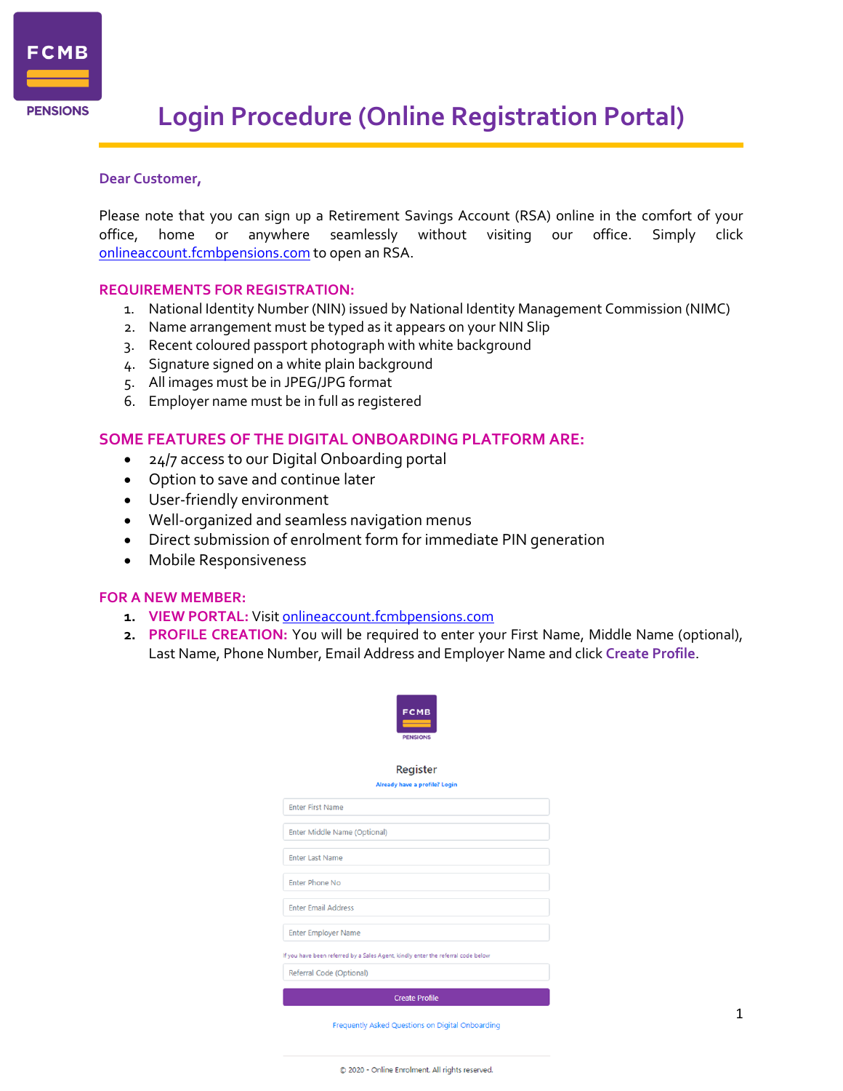

# **Login Procedure (Online Registration Portal)**

# **Dear Customer,**

Please note that you can sign up a Retirement Savings Account (RSA) online in the comfort of your office, home or anywhere seamlessly without visiting our office. Simply click [onlineaccount.fcmbpensions.com](https://staffmail.fcmbpensions.com/owa/redir.aspx?C=f763b87323ce44e5bea23b147985eb3a&URL=http%3a%2f%2fonlineaccount.fcmbpensions.com) to open an RSA.

## **REQUIREMENTS FOR REGISTRATION:**

- 1. National Identity Number (NIN) issued by National Identity Management Commission (NIMC)
- 2. Name arrangement must be typed as it appears on your NIN Slip
- 3. Recent coloured passport photograph with white background
- 4. Signature signed on a white plain background
- 5. All images must be in JPEG/JPG format
- 6. Employer name must be in full as registered

# **SOME FEATURES OF THE DIGITAL ONBOARDING PLATFORM ARE:**

- 24/7 access to our Digital Onboarding portal
- Option to save and continue later
- User-friendly environment
- Well-organized and seamless navigation menus
- Direct submission of enrolment form for immediate PIN generation
- Mobile Responsiveness

### **FOR A NEW MEMBER:**

- **1. VIEW PORTAL:** Visit [onlineaccount.fcmbpensions.com](https://staffmail.fcmbpensions.com/owa/redir.aspx?C=f763b87323ce44e5bea23b147985eb3a&URL=http%3a%2f%2fonlineaccount.fcmbpensions.com)
- **2. PROFILE CREATION:** You will be required to enter your First Name, Middle Name (optional), Last Name, Phone Number, Email Address and Employer Name and click **Create Profile**.



#### Register

# dy have a profile? Logii

| <b>Enter First Name</b>                                                          |
|----------------------------------------------------------------------------------|
|                                                                                  |
| Enter Middle Name (Optional)                                                     |
|                                                                                  |
| <b>Enter Last Name</b>                                                           |
|                                                                                  |
| <b>Enter Phone No</b>                                                            |
|                                                                                  |
| <b>Enter Email Address</b>                                                       |
|                                                                                  |
| <b>Enter Employer Name</b>                                                       |
|                                                                                  |
| If you have been referred by a Sales Agent, kindly enter the referral code below |
| Referral Code (Optional)                                                         |
|                                                                                  |
| <b>Create Profile</b>                                                            |

Frequently Asked Questions on Digital Onboarding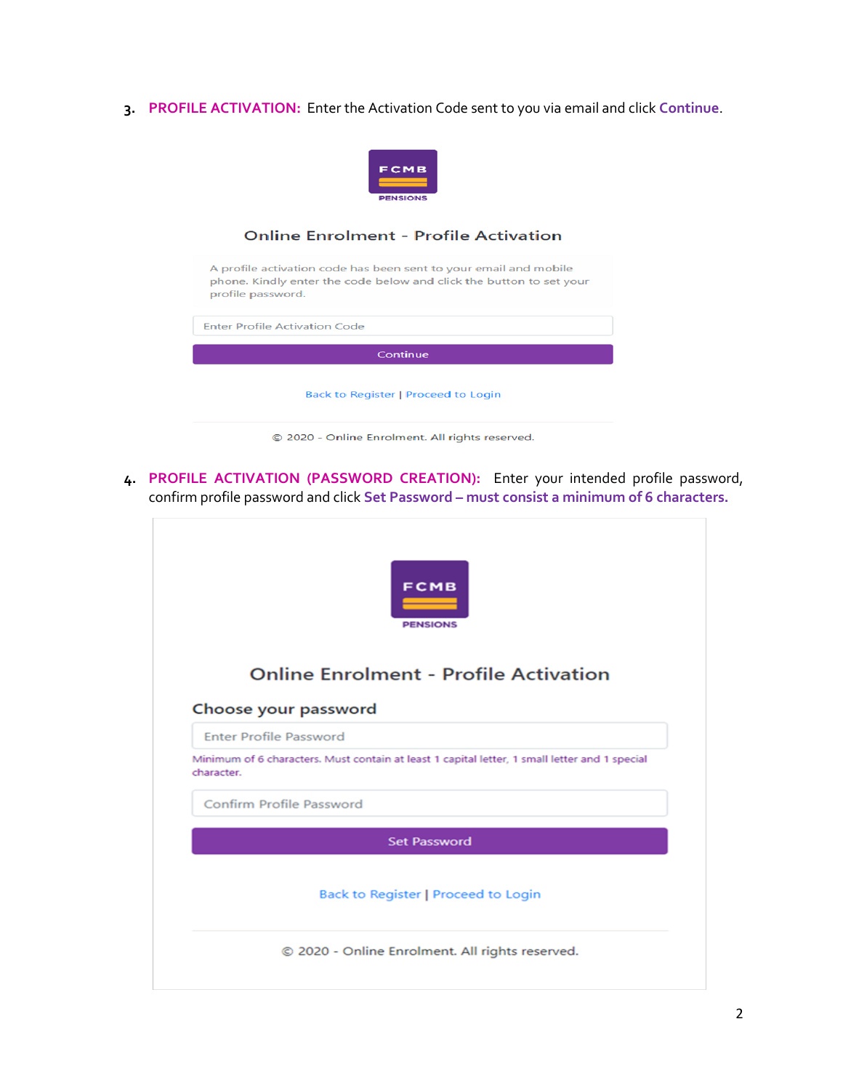**3. PROFILE ACTIVATION:** Enter the Activation Code sent to you via email and click **Continue**.



# **Online Enrolment - Profile Activation**

A profile activation code has been sent to your email and mobile phone. Kindly enter the code below and click the button to set your profile password. **Enter Profile Activation Code** Continue Back to Register | Proceed to Login

© 2020 - Online Enrolment. All rights reserved.

**4. PROFILE ACTIVATION (PASSWORD CREATION):** Enter your intended profile password, confirm profile password and click **Set Password – must consist a minimum of 6 characters.**



# **Online Enrolment - Profile Activation**

#### Choose your password

**Enter Profile Password** 

Minimum of 6 characters. Must contain at least 1 capital letter, 1 small letter and 1 special character.

Confirm Profile Password

**Set Password** 

Back to Register | Proceed to Login

© 2020 - Online Enrolment. All rights reserved.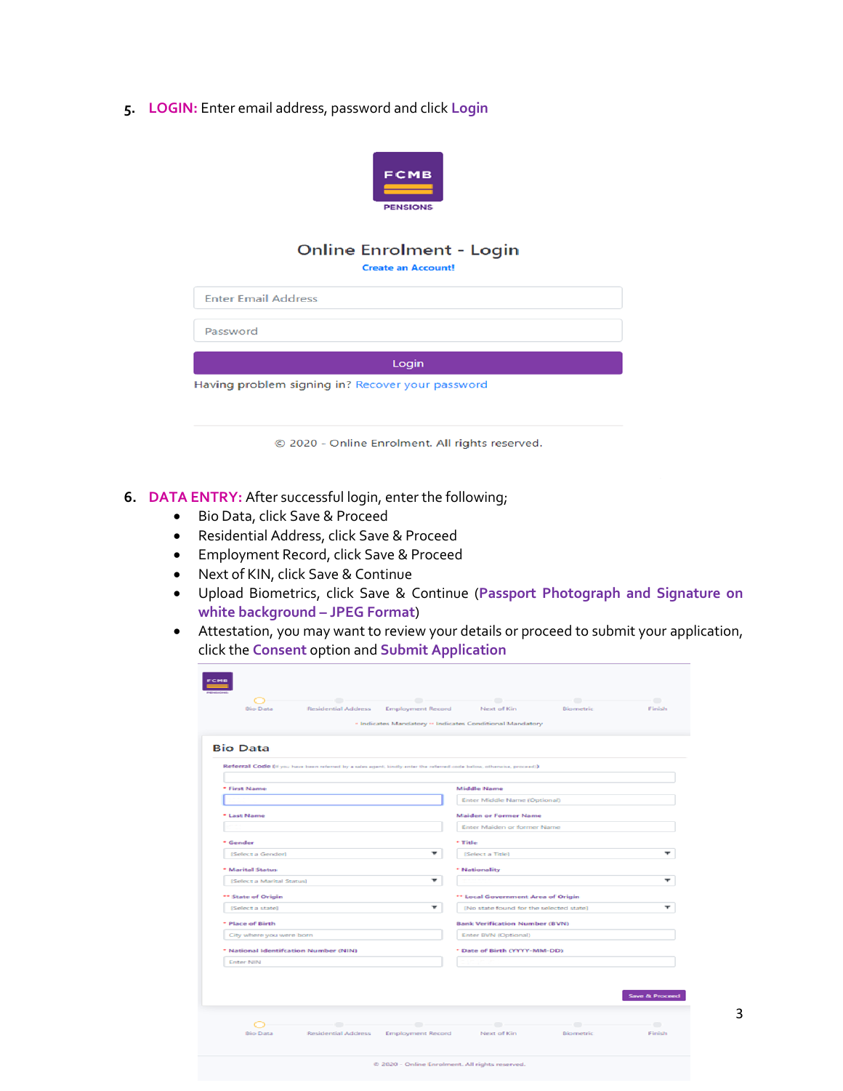**5. LOGIN:** Enter email address, password and click **Login**



# **Online Enrolment - Login**

**Create an Account!** 

| Password |
|----------|
|          |

**Enter Email Address** 

Having problem signing in? Recover your password

© 2020 - Online Enrolment. All rights reserved.

Login

- **6. DATA ENTRY:** After successful login, enter the following;
	- Bio Data, click Save & Proceed
	- Residential Address, click Save & Proceed
	- Employment Record, click Save & Proceed
	- Next of KIN, click Save & Continue
	- Upload Biometrics, click Save & Continue (**Passport Photograph and Signature on white background – JPEG Format**)
	- Attestation, you may want to review your details or proceed to submit your application, click the **Consent** option and **Submit Application**

|                                                                                                                       | . Indicates Mandatory  Indicates Conditional Mandatory |
|-----------------------------------------------------------------------------------------------------------------------|--------------------------------------------------------|
|                                                                                                                       |                                                        |
| <b>Bio Data</b>                                                                                                       |                                                        |
| Referral Code (if you have been referred by a sales agent, kindly enter the referred code below, otherwise, proceed)) |                                                        |
|                                                                                                                       |                                                        |
| * First Name                                                                                                          | Middle Name<br>Enter Middle Name (Optional)            |
|                                                                                                                       |                                                        |
| * Last Name                                                                                                           | <b>Maiden or Former Name</b>                           |
|                                                                                                                       | Enter Maiden or former Name                            |
| * Gender                                                                                                              | * Title                                                |
| [Select a Gender]                                                                                                     | $\mathbf{v}$<br>[Select a Title]                       |
| * Marital Status                                                                                                      | * Nationality                                          |
| [Select a Marital Status]                                                                                             | $\mathbf{v}$                                           |
| ** State of Origin                                                                                                    | ** Local Government Area of Origin                     |
| [Select a state]                                                                                                      | ▼<br>[No state found for the selected state]           |
| * Place of Birth                                                                                                      | <b>Bank Verification Number (BVN)</b>                  |
| City where you were born                                                                                              | Enter BVN (Optional)                                   |
| * National Identification Number (NIN)                                                                                | * Date of Birth (YYYY-MM-DD)                           |
| <b>Enter NIN</b>                                                                                                      |                                                        |
|                                                                                                                       |                                                        |
|                                                                                                                       |                                                        |
|                                                                                                                       | Save & Proceed                                         |
|                                                                                                                       |                                                        |
|                                                                                                                       | œ<br>۰                                                 |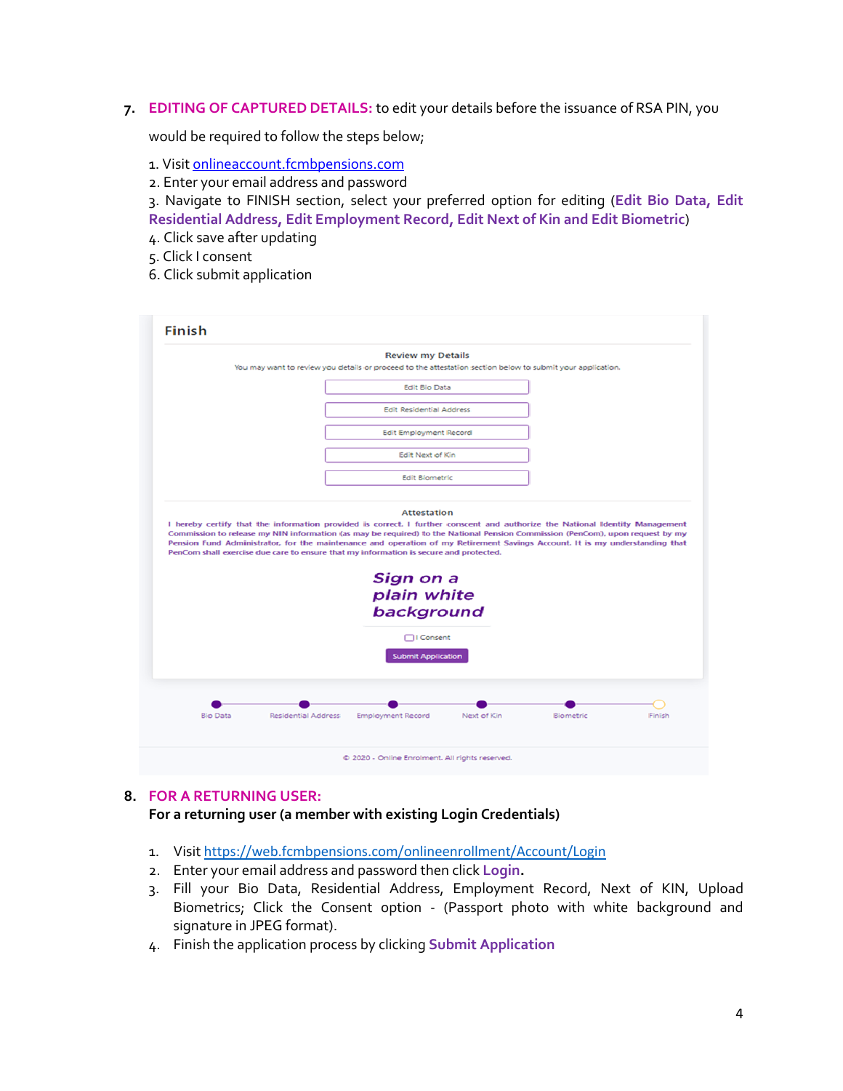**7. EDITING OF CAPTURED DETAILS:** to edit your details before the issuance of RSA PIN, you

would be required to follow the steps below;

- 1. Visit [onlineaccount.fcmbpensions.com](https://staffmail.fcmbpensions.com/owa/redir.aspx?C=f763b87323ce44e5bea23b147985eb3a&URL=http%3a%2f%2fonlineaccount.fcmbpensions.com)
- 2. Enter your email address and password

3. Navigate to FINISH section, select your preferred option for editing (**Edit Bio Data, Edit Residential Address, Edit Employment Record, Edit Next of Kin and Edit Biometric**)

- 4. Click save after updating
- 5. Click I consent
- 6. Click submit application

|  | <b>Review my Details</b><br>You may want to review you details or proceed to the attestation section below to submit your application.                                                                                                                                                                                                                                                                                                                                                                                   |  |  |
|--|--------------------------------------------------------------------------------------------------------------------------------------------------------------------------------------------------------------------------------------------------------------------------------------------------------------------------------------------------------------------------------------------------------------------------------------------------------------------------------------------------------------------------|--|--|
|  | <b>Edit Bio Data</b>                                                                                                                                                                                                                                                                                                                                                                                                                                                                                                     |  |  |
|  | <b>Edit Residential Address</b>                                                                                                                                                                                                                                                                                                                                                                                                                                                                                          |  |  |
|  | <b>Edit Employment Record</b>                                                                                                                                                                                                                                                                                                                                                                                                                                                                                            |  |  |
|  | Edit Next of Kin                                                                                                                                                                                                                                                                                                                                                                                                                                                                                                         |  |  |
|  | <b>Edit Biometric</b>                                                                                                                                                                                                                                                                                                                                                                                                                                                                                                    |  |  |
|  | <b>Attestation</b><br>I hereby certify that the information provided is correct. I further conscent and authorize the National Identity Management<br>Commission to release my NIN information (as may be required) to the National Pension Commission (PenCom), upon request by my<br>Pension Fund Administrator, for the maintenance and operation of my Retirement Savings Account. It is my understanding that<br>PenCom shall exercise due care to ensure that my information is secure and protected.<br>Sign on a |  |  |
|  | plain white<br>background<br>□I Consent                                                                                                                                                                                                                                                                                                                                                                                                                                                                                  |  |  |
|  | <b>Submit Application</b>                                                                                                                                                                                                                                                                                                                                                                                                                                                                                                |  |  |

# **8. FOR A RETURNING USER:**

**For a returning user (a member with existing Login Credentials)**

- 1. Visit <https://web.fcmbpensions.com/onlineenrollment/Account/Login>
- 2. Enter your email address and password then click **Login.**
- 3. Fill your Bio Data, Residential Address, Employment Record, Next of KIN, Upload Biometrics; Click the Consent option - (Passport photo with white background and signature in JPEG format).
- 4. Finish the application process by clicking **Submit Application**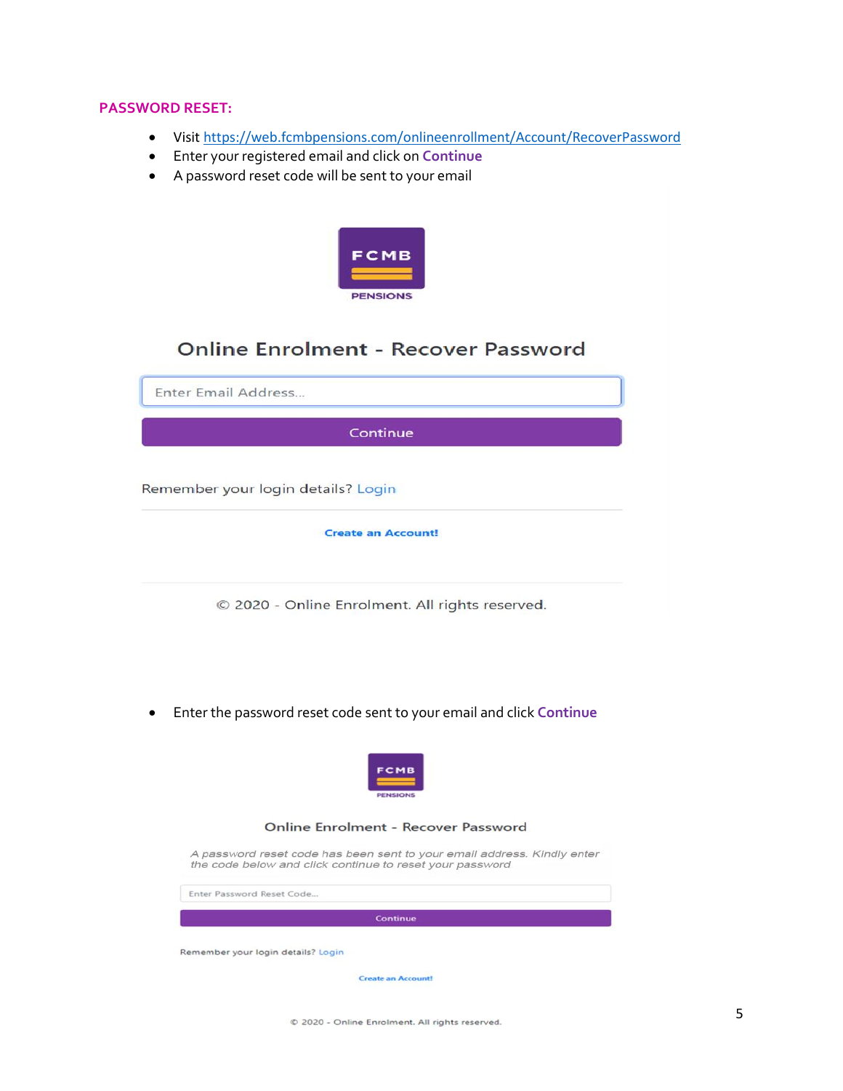# **PASSWORD RESET:**

- Visit<https://web.fcmbpensions.com/onlineenrollment/Account/RecoverPassword>
- Enter your registered email and click on **Continue**
- A password reset code will be sent to your email



# **Online Enrolment - Recover Password**

Enter Email Address... Continue Remember your login details? Login **Create an Account!** © 2020 - Online Enrolment. All rights reserved.

Enter the password reset code sent to your email and click **Continue**

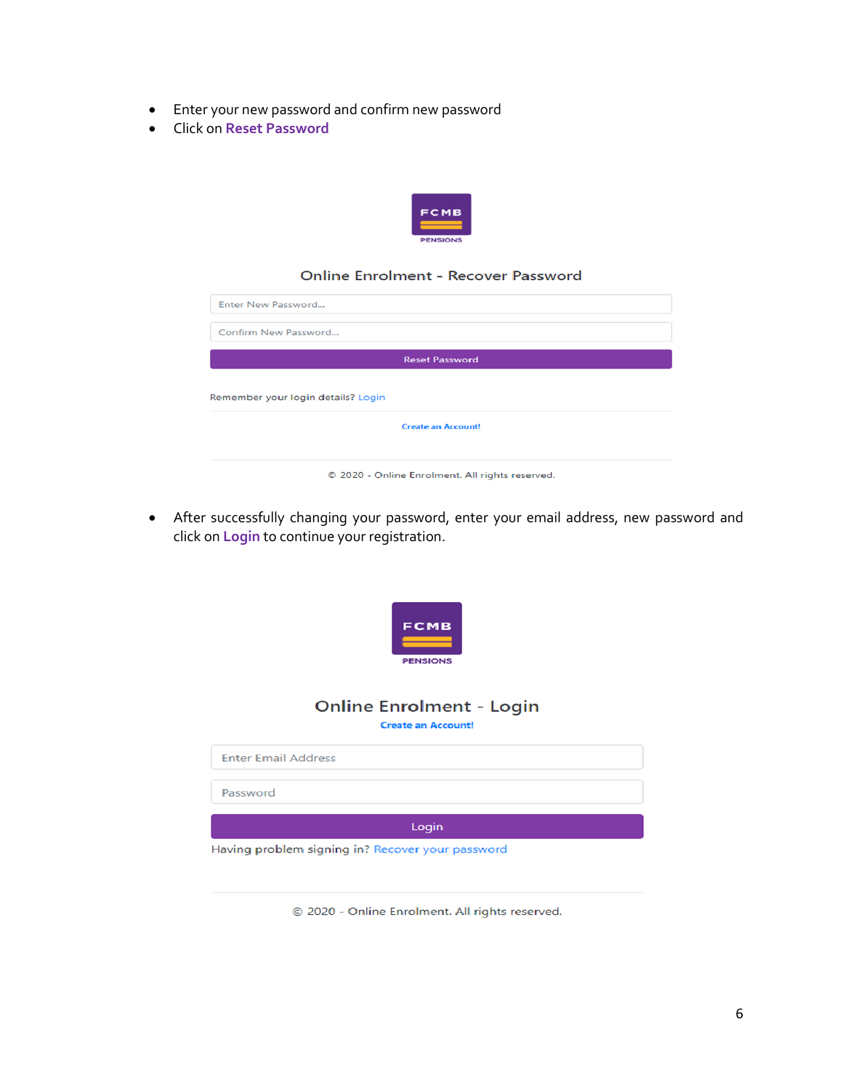- Enter your new password and confirm new password
- Click on **Reset Password**



### **Online Enrolment - Recover Password**

| Confirm New Password               |                           |  |
|------------------------------------|---------------------------|--|
|                                    | <b>Reset Password</b>     |  |
|                                    |                           |  |
|                                    |                           |  |
| Remember your login details? Login |                           |  |
|                                    |                           |  |
|                                    | <b>Create an Account!</b> |  |

 After successfully changing your password, enter your email address, new password and click on **Login** to continue your registration.



© 2020 - Online Enrolment. All rights reserved.